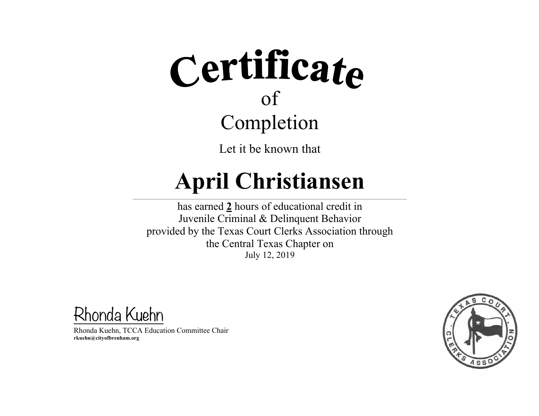Let it be known that

#### **April Christiansen**  $\mathcal{L} = \{ \mathcal{L} = \{ \mathcal{L} = \{ \mathcal{L} = \{ \mathcal{L} = \{ \mathcal{L} = \{ \mathcal{L} = \{ \mathcal{L} = \{ \mathcal{L} = \{ \mathcal{L} = \{ \mathcal{L} = \{ \mathcal{L} = \{ \mathcal{L} = \{ \mathcal{L} = \{ \mathcal{L} = \{ \mathcal{L} = \{ \mathcal{L} = \{ \mathcal{L} = \{ \mathcal{L} = \{ \mathcal{L} = \{ \mathcal{L} = \{ \mathcal{L} = \{ \mathcal{L} = \{ \mathcal{L} = \{ \mathcal{$

has earned **2** hours of educational credit in Juvenile Criminal & Delinquent Behavior provided by the Texas Court Clerks Association through the Central Texas Chapter on July 12, 2019

Rhonda Kuehn

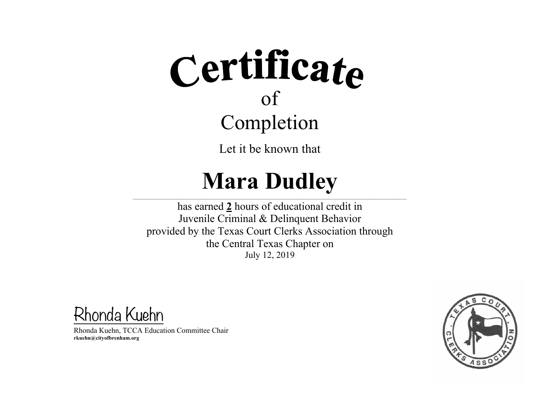Let it be known that

### **Mara Dudley**

 $\mathcal{L} = \{ \mathcal{L} = \{ \mathcal{L} = \{ \mathcal{L} = \{ \mathcal{L} = \{ \mathcal{L} = \{ \mathcal{L} = \{ \mathcal{L} = \{ \mathcal{L} = \{ \mathcal{L} = \{ \mathcal{L} = \{ \mathcal{L} = \{ \mathcal{L} = \{ \mathcal{L} = \{ \mathcal{L} = \{ \mathcal{L} = \{ \mathcal{L} = \{ \mathcal{L} = \{ \mathcal{L} = \{ \mathcal{L} = \{ \mathcal{L} = \{ \mathcal{L} = \{ \mathcal{L} = \{ \mathcal{L} = \{ \mathcal{$ 

has earned **2** hours of educational credit in Juvenile Criminal & Delinquent Behavior provided by the Texas Court Clerks Association through the Central Texas Chapter on July 12, 2019

Rhonda Kuehn

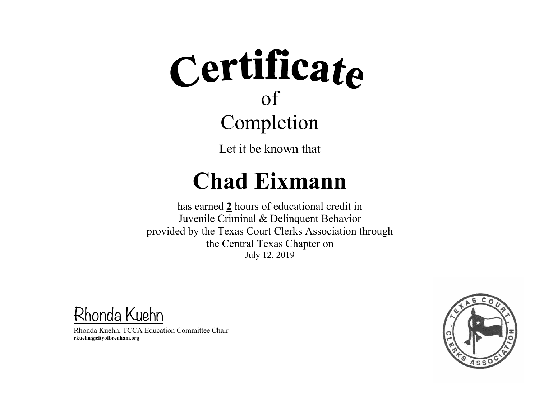Let it be known that

### **Chad Eixmann**

 $\mathcal{L} = \{ \mathcal{L} = \{ \mathcal{L} = \{ \mathcal{L} = \{ \mathcal{L} = \{ \mathcal{L} = \{ \mathcal{L} = \{ \mathcal{L} = \{ \mathcal{L} = \{ \mathcal{L} = \{ \mathcal{L} = \{ \mathcal{L} = \{ \mathcal{L} = \{ \mathcal{L} = \{ \mathcal{L} = \{ \mathcal{L} = \{ \mathcal{L} = \{ \mathcal{L} = \{ \mathcal{L} = \{ \mathcal{L} = \{ \mathcal{L} = \{ \mathcal{L} = \{ \mathcal{L} = \{ \mathcal{L} = \{ \mathcal{$ 

has earned **2** hours of educational credit in Juvenile Criminal & Delinquent Behavior provided by the Texas Court Clerks Association through the Central Texas Chapter on July 12, 2019

Rhonda Kuehn

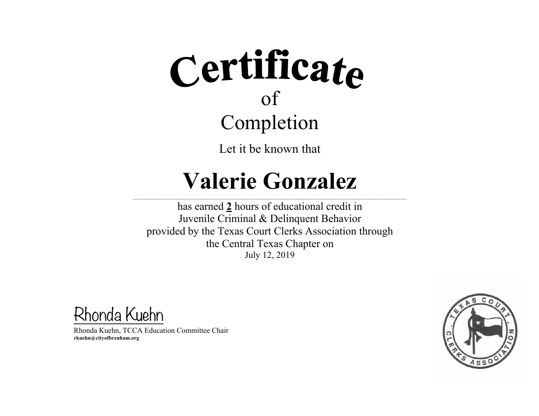Let it be known that

#### **Valerie Gonzalez**

 $\mathcal{L} = \{ \mathcal{L} = \{ \mathcal{L} = \{ \mathcal{L} = \{ \mathcal{L} = \{ \mathcal{L} = \{ \mathcal{L} = \{ \mathcal{L} = \{ \mathcal{L} = \{ \mathcal{L} = \{ \mathcal{L} = \{ \mathcal{L} = \{ \mathcal{L} = \{ \mathcal{L} = \{ \mathcal{L} = \{ \mathcal{L} = \{ \mathcal{L} = \{ \mathcal{L} = \{ \mathcal{L} = \{ \mathcal{L} = \{ \mathcal{L} = \{ \mathcal{L} = \{ \mathcal{L} = \{ \mathcal{L} = \{ \mathcal{$ 

has earned **2** hours of educational credit in Juvenile Criminal & Delinquent Behavior provided by the Texas Court Clerks Association through the Central Texas Chapter on July 12, 2019

Rhonda Kuehn

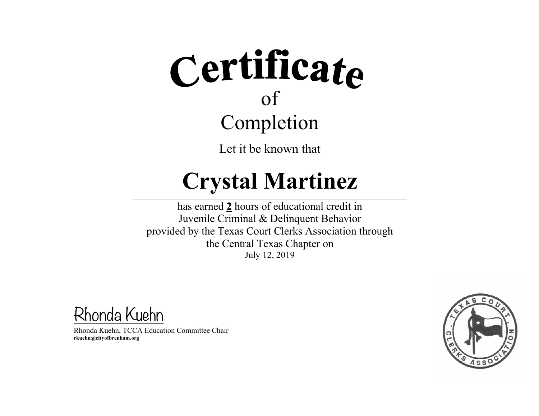Let it be known that

#### **Crystal Martinez**

 $\mathcal{L} = \{ \mathcal{L} = \{ \mathcal{L} = \{ \mathcal{L} = \{ \mathcal{L} = \{ \mathcal{L} = \{ \mathcal{L} = \{ \mathcal{L} = \{ \mathcal{L} = \{ \mathcal{L} = \{ \mathcal{L} = \{ \mathcal{L} = \{ \mathcal{L} = \{ \mathcal{L} = \{ \mathcal{L} = \{ \mathcal{L} = \{ \mathcal{L} = \{ \mathcal{L} = \{ \mathcal{L} = \{ \mathcal{L} = \{ \mathcal{L} = \{ \mathcal{L} = \{ \mathcal{L} = \{ \mathcal{L} = \{ \mathcal{$ 

has earned **2** hours of educational credit in Juvenile Criminal & Delinquent Behavior provided by the Texas Court Clerks Association through the Central Texas Chapter on July 12, 2019

Rhonda Kuehn

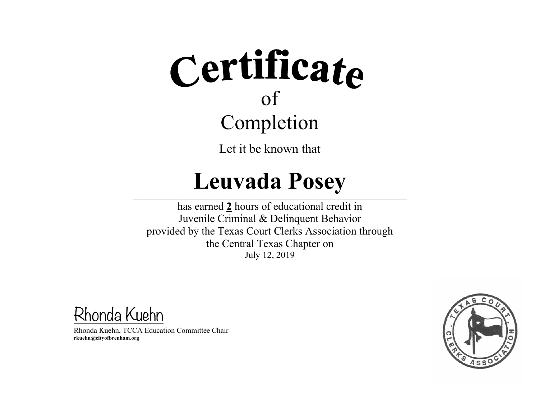Let it be known that

#### **Leuvada Posey**

 $\mathcal{L} = \{ \mathcal{L} = \{ \mathcal{L} = \{ \mathcal{L} = \{ \mathcal{L} = \{ \mathcal{L} = \{ \mathcal{L} = \{ \mathcal{L} = \{ \mathcal{L} = \{ \mathcal{L} = \{ \mathcal{L} = \{ \mathcal{L} = \{ \mathcal{L} = \{ \mathcal{L} = \{ \mathcal{L} = \{ \mathcal{L} = \{ \mathcal{L} = \{ \mathcal{L} = \{ \mathcal{L} = \{ \mathcal{L} = \{ \mathcal{L} = \{ \mathcal{L} = \{ \mathcal{L} = \{ \mathcal{L} = \{ \mathcal{$ 

has earned **2** hours of educational credit in Juvenile Criminal & Delinquent Behavior provided by the Texas Court Clerks Association through the Central Texas Chapter on July 12, 2019

Rhonda Kuehn

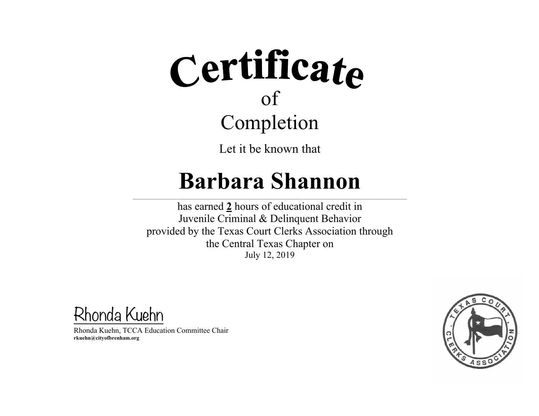Let it be known that

#### **Barbara Shannon**

 $\mathcal{L} = \{ \mathcal{L} = \{ \mathcal{L} = \{ \mathcal{L} = \{ \mathcal{L} = \{ \mathcal{L} = \{ \mathcal{L} = \{ \mathcal{L} = \{ \mathcal{L} = \{ \mathcal{L} = \{ \mathcal{L} = \{ \mathcal{L} = \{ \mathcal{L} = \{ \mathcal{L} = \{ \mathcal{L} = \{ \mathcal{L} = \{ \mathcal{L} = \{ \mathcal{L} = \{ \mathcal{L} = \{ \mathcal{L} = \{ \mathcal{L} = \{ \mathcal{L} = \{ \mathcal{L} = \{ \mathcal{L} = \{ \mathcal{$ 

has earned **2** hours of educational credit in Juvenile Criminal & Delinquent Behavior provided by the Texas Court Clerks Association through the Central Texas Chapter on July 12, 2019

Rhonda Kuehn

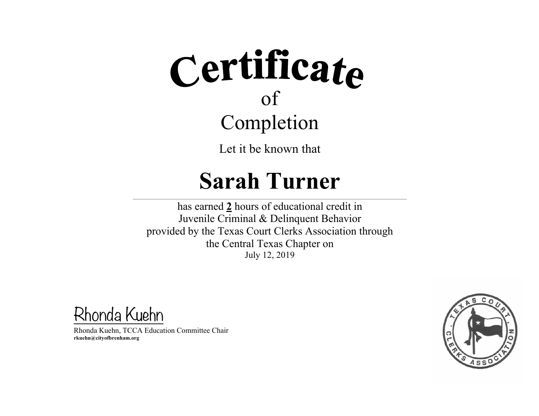Let it be known that

#### **Sarah Turner**

 $\mathcal{L} = \{ \mathcal{L} = \{ \mathcal{L} = \{ \mathcal{L} = \{ \mathcal{L} = \{ \mathcal{L} = \{ \mathcal{L} = \{ \mathcal{L} = \{ \mathcal{L} = \{ \mathcal{L} = \{ \mathcal{L} = \{ \mathcal{L} = \{ \mathcal{L} = \{ \mathcal{L} = \{ \mathcal{L} = \{ \mathcal{L} = \{ \mathcal{L} = \{ \mathcal{L} = \{ \mathcal{L} = \{ \mathcal{L} = \{ \mathcal{L} = \{ \mathcal{L} = \{ \mathcal{L} = \{ \mathcal{L} = \{ \mathcal{$ 

has earned **2** hours of educational credit in Juvenile Criminal & Delinquent Behavior provided by the Texas Court Clerks Association through the Central Texas Chapter on July 12, 2019

Rhonda Kuehn